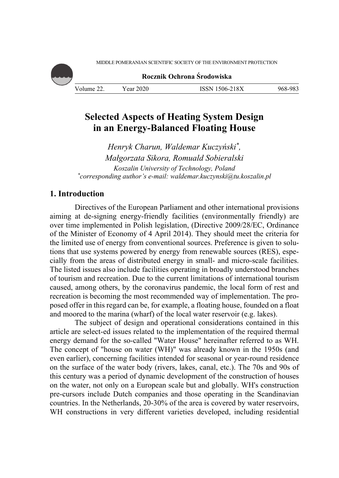

**Rocznik Ochrona Środowiska**

| Volume | ear 2020 | 1506-218X   | 968-983 |
|--------|----------|-------------|---------|
|        |          | <b>ISSN</b> | ິ       |

# **Selected Aspects of Heating System Design in an Energy-Balanced Floating House**

*Henryk Charun, Waldemar Kuczyński\*, Małgorzata Sikora, Romuald Sobieralski Koszalin University of Technology, Poland \* corresponding author's e-mail: waldemar.kuczynski@tu.koszalin.pl* 

# **1. Introduction**

Directives of the European Parliament and other international provisions aiming at de-signing energy-friendly facilities (environmentally friendly) are over time implemented in Polish legislation, (Directive 2009/28/EC, Ordinance of the Minister of Economy of 4 April 2014). They should meet the criteria for the limited use of energy from conventional sources. Preference is given to solutions that use systems powered by energy from renewable sources (RES), especially from the areas of distributed energy in small- and micro-scale facilities. The listed issues also include facilities operating in broadly understood branches of tourism and recreation. Due to the current limitations of international tourism caused, among others, by the coronavirus pandemic, the local form of rest and recreation is becoming the most recommended way of implementation. The proposed offer in this regard can be, for example, a floating house, founded on a float and moored to the marina (wharf) of the local water reservoir (e.g. lakes).

The subject of design and operational considerations contained in this article are select-ed issues related to the implementation of the required thermal energy demand for the so-called "Water House" hereinafter referred to as WH. The concept of "house on water (WH)" was already known in the 1950s (and even earlier), concerning facilities intended for seasonal or year-round residence on the surface of the water body (rivers, lakes, canal, etc.). The 70s and 90s of this century was a period of dynamic development of the construction of houses on the water, not only on a European scale but and globally. WH's construction pre-cursors include Dutch companies and those operating in the Scandinavian countries. In the Netherlands, 20-30% of the area is covered by water reservoirs, WH constructions in very different varieties developed, including residential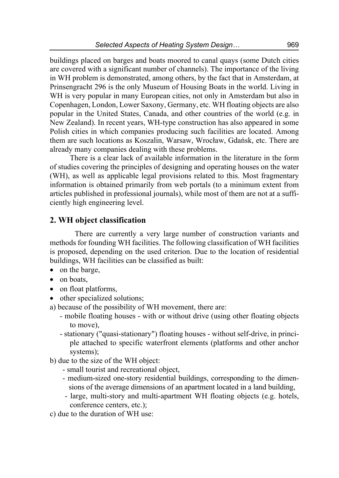buildings placed on barges and boats moored to canal quays (some Dutch cities are covered with a significant number of channels). The importance of the living in WH problem is demonstrated, among others, by the fact that in Amsterdam, at Prinsengracht 296 is the only Museum of Housing Boats in the world. Living in WH is very popular in many European cities, not only in Amsterdam but also in Copenhagen, London, Lower Saxony, Germany, etc. WH floating objects are also popular in the United States, Canada, and other countries of the world (e.g. in New Zealand). In recent years, WH-type construction has also appeared in some Polish cities in which companies producing such facilities are located. Among them are such locations as Koszalin, Warsaw, Wrocław, Gdańsk, etc. There are already many companies dealing with these problems.

There is a clear lack of available information in the literature in the form of studies covering the principles of designing and operating houses on the water (WH), as well as applicable legal provisions related to this. Most fragmentary information is obtained primarily from web portals (to a minimum extent from articles published in professional journals), while most of them are not at a sufficiently high engineering level.

### **2. WH object classification**

There are currently a very large number of construction variants and methods for founding WH facilities. The following classification of WH facilities is proposed, depending on the used criterion. Due to the location of residential buildings, WH facilities can be classified as built:

- on the barge,
- on boats,
- on float platforms,
- other specialized solutions;
- a) because of the possibility of WH movement, there are:
	- mobile floating houses with or without drive (using other floating objects to move),
	- stationary ("quasi-stationary") floating houses without self-drive, in principle attached to specific waterfront elements (platforms and other anchor systems);
- b) due to the size of the WH object:
	- small tourist and recreational object,
	- medium-sized one-story residential buildings, corresponding to the dimensions of the average dimensions of an apartment located in a land building,
	- large, multi-story and multi-apartment WH floating objects (e.g. hotels, conference centers, etc.);
- c) due to the duration of WH use: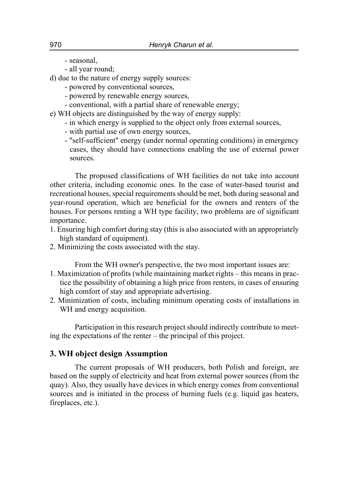- seasonal,

- all year round;

d) due to the nature of energy supply sources:

- powered by conventional sources,
- powered by renewable energy sources,
- conventional, with a partial share of renewable energy;
- e) WH objects are distinguished by the way of energy supply:
	- in which energy is supplied to the object only from external sources,
	- with partial use of own energy sources,
	- "self-sufficient" energy (under normal operating conditions) in emergency cases, they should have connections enabling the use of external power sources.

The proposed classifications of WH facilities do not take into account other criteria, including economic ones. In the case of water-based tourist and recreational houses, special requirements should be met, both during seasonal and year-round operation, which are beneficial for the owners and renters of the houses. For persons renting a WH type facility, two problems are of significant importance.

- 1. Ensuring high comfort during stay (this is also associated with an appropriately high standard of equipment).
- 2. Minimizing the costs associated with the stay.

From the WH owner's perspective, the two most important issues are:

- 1. Maximization of profits (while maintaining market rights this means in practice the possibility of obtaining a high price from renters, in cases of ensuring high comfort of stay and appropriate advertising.
- 2. Minimization of costs, including minimum operating costs of installations in WH and energy acquisition.

Participation in this research project should indirectly contribute to meeting the expectations of the renter – the principal of this project.

#### **3. WH object design Assumption**

The current proposals of WH producers, both Polish and foreign, are based on the supply of electricity and heat from external power sources (from the quay). Also, they usually have devices in which energy comes from conventional sources and is initiated in the process of burning fuels (e.g. liquid gas heaters, fireplaces, etc.).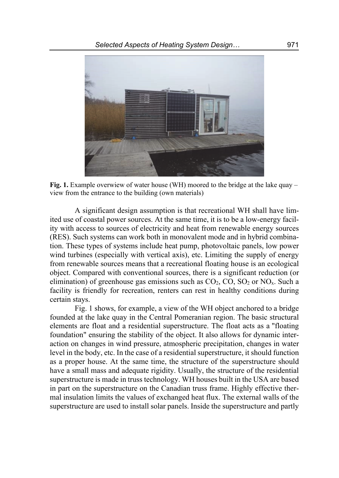

**Fig. 1.** Example overwiew of water house (WH) moored to the bridge at the lake quay – view from the entrance to the building (own materials)

A significant design assumption is that recreational WH shall have limited use of coastal power sources. At the same time, it is to be a low-energy facility with access to sources of electricity and heat from renewable energy sources (RES). Such systems can work both in monovalent mode and in hybrid combination. These types of systems include heat pump, photovoltaic panels, low power wind turbines (especially with vertical axis), etc. Limiting the supply of energy from renewable sources means that a recreational floating house is an ecological object. Compared with conventional sources, there is a significant reduction (or elimination) of greenhouse gas emissions such as  $CO<sub>2</sub>$ ,  $CO$ ,  $SO<sub>2</sub>$  or  $NO<sub>x</sub>$ . Such a facility is friendly for recreation, renters can rest in healthy conditions during certain stays.

Fig. 1 shows, for example, a view of the WH object anchored to a bridge founded at the lake quay in the Central Pomeranian region. The basic structural elements are float and a residential superstructure. The float acts as a "floating foundation" ensuring the stability of the object. It also allows for dynamic interaction on changes in wind pressure, atmospheric precipitation, changes in water level in the body, etc. In the case of a residential superstructure, it should function as a proper house. At the same time, the structure of the superstructure should have a small mass and adequate rigidity. Usually, the structure of the residential superstructure is made in truss technology. WH houses built in the USA are based in part on the superstructure on the Canadian truss frame. Highly effective thermal insulation limits the values of exchanged heat flux. The external walls of the superstructure are used to install solar panels. Inside the superstructure and partly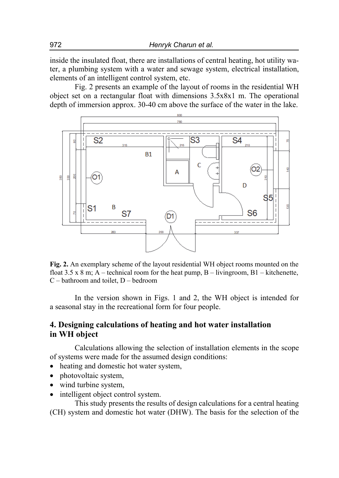inside the insulated float, there are installations of central heating, hot utility water, a plumbing system with a water and sewage system, electrical installation, elements of an intelligent control system, etc.

Fig. 2 presents an example of the layout of rooms in the residential WH object set on a rectangular float with dimensions 3.5x8x1 m. The operational depth of immersion approx. 30-40 cm above the surface of the water in the lake.



**Fig. 2.** An exemplary scheme of the layout residential WH object rooms mounted on the float 3.5 x 8 m; A – technical room for the heat pump, B – livingroom, B1 – kitchenette, C – bathroom and toilet, D – bedroom

In the version shown in Figs. 1 and 2, the WH object is intended for a seasonal stay in the recreational form for four people.

## **4. Designing calculations of heating and hot water installation in WH object**

Calculations allowing the selection of installation elements in the scope of systems were made for the assumed design conditions:

- heating and domestic hot water system,
- photovoltaic system,
- wind turbine system,
- intelligent object control system.

This study presents the results of design calculations for a central heating (CH) system and domestic hot water (DHW). The basis for the selection of the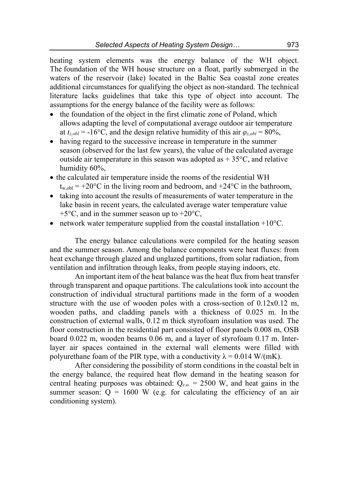heating system elements was the energy balance of the WH object. The foundation of the WH house structure on a float, partly submerged in the waters of the reservoir (lake) located in the Baltic Sea coastal zone creates additional circumstances for qualifying the object as non-standard. The technical literature lacks guidelines that take this type of object into account. The assumptions for the energy balance of the facility were as follows:

- the foundation of the object in the first climatic zone of Poland, which allows adapting the level of computational average outdoor air temperature at  $t_{z,obl} = -16$ °C, and the design relative humidity of this air  $\varphi_{z,obl} = 80\%$ ,
- having regard to the successive increase in temperature in the summer season (observed for the last few years), the value of the calculated average outside air temperature in this season was adopted as  $+35^{\circ}$ C, and relative humidity 60%,
- the calculated air temperature inside the rooms of the residential WH  $t_{\rm w,obl}$  = +20°C in the living room and bedroom, and +24°C in the bathroom,
- taking into account the results of measurements of water temperature in the lake basin in recent years, the calculated average water temperature value  $+5^{\circ}$ C, and in the summer season up to  $+20^{\circ}$ C,
- network water temperature supplied from the coastal installation  $+10^{\circ}$ C.

The energy balance calculations were compiled for the heating season and the summer season. Among the balance components were heat fluxes: from heat exchange through glazed and unglazed partitions, from solar radiation, from ventilation and infiltration through leaks, from people staying indoors, etc.

An important item of the heat balance was the heat flux from heat transfer through transparent and opaque partitions. The calculations took into account the construction of individual structural partitions made in the form of a wooden structure with the use of wooden poles with a cross-section of  $0.12x0.12$  m, wooden paths, and cladding panels with a thickness of 0.025 m. In the construction of external walls, 0.12 m thick styrofoam insulation was used. The floor construction in the residential part consisted of floor panels 0.008 m, OSB board 0.022 m, wooden beams 0.06 m, and a layer of styrofoam 0.17 m. Interlayer air spaces contained in the external wall elements were filled with polyurethane foam of the PIR type, with a conductivity  $\lambda = 0.014$  W/(mK).

After considering the possibility of storm conditions in the coastal belt in the energy balance, the required heat flow demand in the heating season for central heating purposes was obtained:  $Q_{c.o.} = 2500$  W, and heat gains in the summer season:  $Q = 1600$  W (e.g. for calculating the efficiency of an air conditioning system).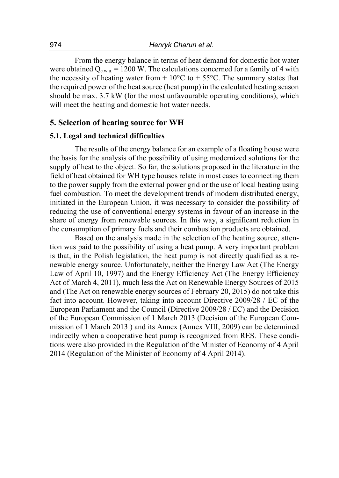From the energy balance in terms of heat demand for domestic hot water were obtained  $Q_{c,w,u} = 1200$  W. The calculations concerned for a family of 4 with the necessity of heating water from  $+10^{\circ}$ C to  $+55^{\circ}$ C. The summary states that the required power of the heat source (heat pump) in the calculated heating season should be max. 3.7 kW (for the most unfavourable operating conditions), which will meet the heating and domestic hot water needs.

#### **5. Selection of heating source for WH**

#### **5.1. Legal and technical difficulties**

The results of the energy balance for an example of a floating house were the basis for the analysis of the possibility of using modernized solutions for the supply of heat to the object. So far, the solutions proposed in the literature in the field of heat obtained for WH type houses relate in most cases to connecting them to the power supply from the external power grid or the use of local heating using fuel combustion. To meet the development trends of modern distributed energy, initiated in the European Union, it was necessary to consider the possibility of reducing the use of conventional energy systems in favour of an increase in the share of energy from renewable sources. In this way, a significant reduction in the consumption of primary fuels and their combustion products are obtained.

Based on the analysis made in the selection of the heating source, attention was paid to the possibility of using a heat pump. A very important problem is that, in the Polish legislation, the heat pump is not directly qualified as a renewable energy source. Unfortunately, neither the Energy Law Act (The Energy Law of April 10, 1997) and the Energy Efficiency Act (The Energy Efficiency Act of March 4, 2011), much less the Act on Renewable Energy Sources of 2015 and (The Act on renewable energy sources of February 20, 2015) do not take this fact into account. However, taking into account Directive 2009/28 / EC of the European Parliament and the Council (Directive 2009/28 / EC) and the Decision of the European Commission of 1 March 2013 (Decision of the European Commission of 1 March 2013 ) and its Annex (Annex VIII, 2009) can be determined indirectly when a cooperative heat pump is recognized from RES. These conditions were also provided in the Regulation of the Minister of Economy of 4 April 2014 (Regulation of the Minister of Economy of 4 April 2014).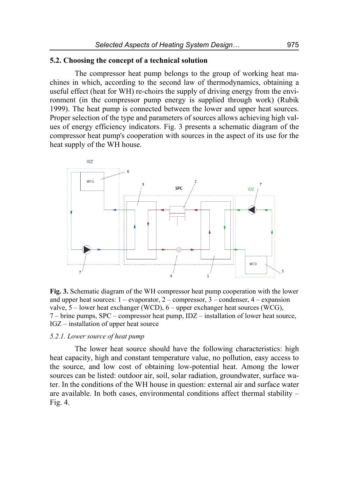#### **5.2. Choosing the concept of a technical solution**

The compressor heat pump belongs to the group of working heat machines in which, according to the second law of thermodynamics, obtaining a useful effect (heat for WH) re-choirs the supply of driving energy from the environment (in the compressor pump energy is supplied through work) (Rubik 1999). The heat pump is connected between the lower and upper heat sources. Proper selection of the type and parameters of sources allows achieving high values of energy efficiency indicators. Fig. 3 presents a schematic diagram of the compressor heat pump's cooperation with sources in the aspect of its use for the heat supply of the WH house.



**Fig. 3.** Schematic diagram of the WH compressor heat pump cooperation with the lower and upper heat sources:  $1 -$  evaporator,  $2 -$  compressor,  $3 -$  condenser,  $4 -$  expansion valve,  $5$  – lower heat exchanger (WCD),  $6$  – upper exchanger heat sources (WCG), 7 – brine pumps, SPC – compressor heat pump, IDZ – installation of lower heat source, IGZ – installation of upper heat source

#### *5.2.1. Lower source of heat pump*

The lower heat source should have the following characteristics: high heat capacity, high and constant temperature value, no pollution, easy access to the source, and low cost of obtaining low-potential heat. Among the lower sources can be listed: outdoor air, soil, solar radiation, groundwater, surface water. In the conditions of the WH house in question: external air and surface water are available. In both cases, environmental conditions affect thermal stability – Fig. 4.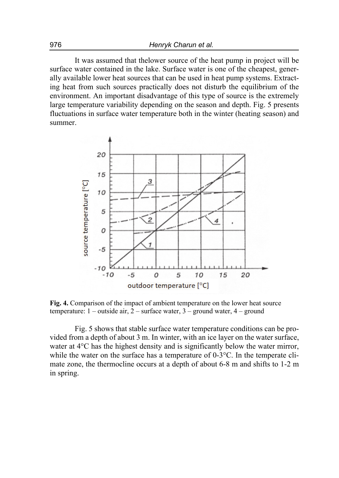It was assumed that thelower source of the heat pump in project will be surface water contained in the lake. Surface water is one of the cheapest, generally available lower heat sources that can be used in heat pump systems. Extracting heat from such sources practically does not disturb the equilibrium of the environment. An important disadvantage of this type of source is the extremely large temperature variability depending on the season and depth. Fig. 5 presents fluctuations in surface water temperature both in the winter (heating season) and summer.



**Fig. 4.** Comparison of the impact of ambient temperature on the lower heat source temperature: 1 – outside air, 2 – surface water, 3 – ground water, 4 – ground

Fig. 5 shows that stable surface water temperature conditions can be provided from a depth of about 3 m. In winter, with an ice layer on the water surface, water at  $4^{\circ}$ C has the highest density and is significantly below the water mirror, while the water on the surface has a temperature of  $0\n-3$ °C. In the temperate climate zone, the thermocline occurs at a depth of about 6-8 m and shifts to 1-2 m in spring.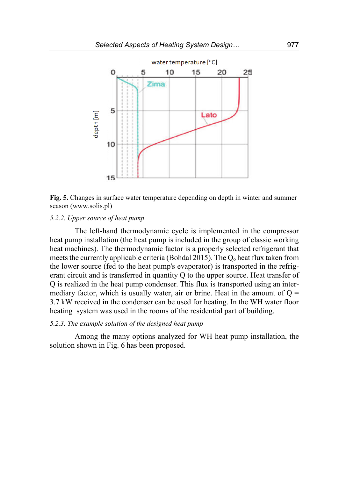

**Fig. 5.** Changes in surface water temperature depending on depth in winter and summer season (www.solis.pl)

#### *5.2.2. Upper source of heat pump*

The left-hand thermodynamic cycle is implemented in the compressor heat pump installation (the heat pump is included in the group of classic working heat machines). The thermodynamic factor is a properly selected refrigerant that meets the currently applicable criteria (Bohdal 2015). The  $Q_0$  heat flux taken from the lower source (fed to the heat pump's evaporator) is transported in the refrigerant circuit and is transferred in quantity Q to the upper source. Heat transfer of Q is realized in the heat pump condenser. This flux is transported using an intermediary factor, which is usually water, air or brine. Heat in the amount of  $Q =$ 3.7 kW received in the condenser can be used for heating. In the WH water floor heating system was used in the rooms of the residential part of building.

#### *5.2.3. The example solution of the designed heat pump*

Among the many options analyzed for WH heat pump installation, the solution shown in Fig. 6 has been proposed.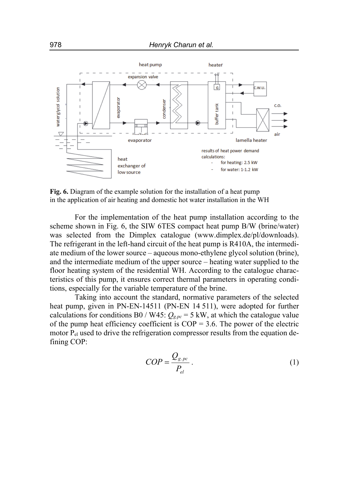

**Fig. 6.** Diagram of the example solution for the installation of a heat pump in the application of air heating and domestic hot water installation in the WH

For the implementation of the heat pump installation according to the scheme shown in Fig. 6, the SIW 6TES compact heat pump B/W (brine/water) was selected from the Dimplex catalogue (www.dimplex.de/pl/downloads). The refrigerant in the left-hand circuit of the heat pump is R410A, the intermediate medium of the lower source – aqueous mono-ethylene glycol solution (brine), and the intermediate medium of the upper source – heating water supplied to the floor heating system of the residential WH. According to the catalogue characteristics of this pump, it ensures correct thermal parameters in operating conditions, especially for the variable temperature of the brine.

Taking into account the standard, normative parameters of the selected heat pump, given in PN-EN-14511 (PN-EN 14 511), were adopted for further calculations for conditions B0 / W45:  $Q_{g,pc}$  = 5 kW, at which the catalogue value of the pump heat efficiency coefficient is  $COP = 3.6$ . The power of the electric motor  $P_{el}$  used to drive the refrigeration compressor results from the equation defining COP:

$$
COP = \frac{Q_{g,pc}}{P_{el}}.
$$
 (1)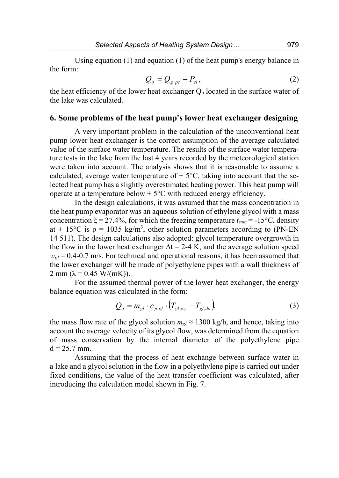Using equation (1) and equation (1) of the heat pump's energy balance in the form:

$$
Q_o = Q_{g.p c} - P_{el},\tag{2}
$$

the heat efficiency of the lower heat exchanger  $Q_0$  located in the surface water of the lake was calculated.

# **6. Some problems of the heat pump's lower heat exchanger designing**

A very important problem in the calculation of the unconventional heat pump lower heat exchanger is the correct assumption of the average calculated value of the surface water temperature. The results of the surface water temperature tests in the lake from the last 4 years recorded by the meteorological station were taken into account. The analysis shows that it is reasonable to assume a calculated, average water temperature of  $+5^{\circ}$ C, taking into account that the selected heat pump has a slightly overestimated heating power. This heat pump will operate at a temperature below  $+5^{\circ}$ C with reduced energy efficiency.

In the design calculations, it was assumed that the mass concentration in the heat pump evaporator was an aqueous solution of ethylene glycol with a mass concentration  $\xi = 27.4\%$ , for which the freezing temperature  $t_{zam} = -15\degree\text{C}$ , density at + 15°C is  $\rho = 1035 \text{ kg/m}^3$ , other solution parameters according to (PN-EN) 14 511). The design calculations also adopted: glycol temperature overgrowth in the flow in the lower heat exchanger  $\Delta t = 2-4$  K, and the average solution speed  $w_{gl}$  = 0.4-0.7 m/s. For technical and operational reasons, it has been assumed that the lower exchanger will be made of polyethylene pipes with a wall thickness of 2 mm ( $\lambda$  = 0.45 W/(mK)).

For the assumed thermal power of the lower heat exchanger, the energy balance equation was calculated in the form:

$$
Q_o = m_{gl} \cdot c_{p,gl} \cdot (T_{gl,wy} - T_{gl,do}),
$$
 (3)

the mass flow rate of the glycol solution  $m_{el} \approx 1300$  kg/h, and hence, taking into account the average velocity of its glycol flow, was determined from the equation of mass conservation by the internal diameter of the polyethylene pipe  $d = 25.7$  mm.

Assuming that the process of heat exchange between surface water in a lake and a glycol solution in the flow in a polyethylene pipe is carried out under fixed conditions, the value of the heat transfer coefficient was calculated, after introducing the calculation model shown in Fig. 7.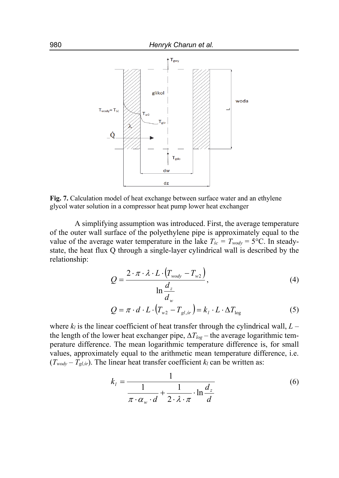

**Fig. 7.** Calculation model of heat exchange between surface water and an ethylene glycol water solution in a compressor heat pump lower heat exchanger

A simplifying assumption was introduced. First, the average temperature of the outer wall surface of the polyethylene pipe is approximately equal to the value of the average water temperature in the lake  $T_{sc} = T_{wody} = 5$ °C. In steadystate, the heat flux Q through a single-layer cylindrical wall is described by the relationship:

$$
Q = \frac{2 \cdot \pi \cdot \lambda \cdot L \cdot (T_{\text{wody}} - T_{\text{w2}})}{\ln \frac{d_z}{d_w}},
$$
\n(4)

$$
Q = \pi \cdot d \cdot L \cdot (T_{w2} - T_{gl,sr}) = k_l \cdot L \cdot \Delta T_{log}
$$
 (5)

where  $k_l$  is the linear coefficient of heat transfer through the cylindrical wall,  $L$ the length of the lower heat exchanger pipe,  $\Delta T_{\text{log}}$  – the average logarithmic temperature difference. The mean logarithmic temperature difference is, for small values, approximately equal to the arithmetic mean temperature difference, i.e.  $(T_{wody} - T_{gl,sr})$ . The linear heat transfer coefficient  $k_l$  can be written as:

$$
k_{l} = \frac{1}{\frac{1}{\pi \cdot \alpha_{w} \cdot d} + \frac{1}{2 \cdot \lambda \cdot \pi} \cdot \ln \frac{d_{z}}{d}}
$$
(6)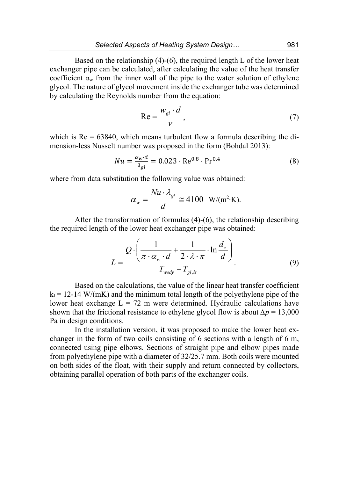Based on the relationship  $(4)-(6)$ , the required length L of the lower heat exchanger pipe can be calculated, after calculating the value of the heat transfer coefficient  $\alpha_w$  from the inner wall of the pipe to the water solution of ethylene glycol. The nature of glycol movement inside the exchanger tube was determined by calculating the Reynolds number from the equation:

$$
\text{Re} = \frac{w_{gl} \cdot d}{V},\tag{7}
$$

which is  $Re = 63840$ , which means turbulent flow a formula describing the dimension-less Nusselt number was proposed in the form (Bohdal 2013):

$$
Nu = \frac{\alpha_w \cdot d}{\lambda_{gl}} = 0.023 \cdot \text{Re}^{0.8} \cdot \text{Pr}^{0.4}
$$
 (8)

where from data substitution the following value was obtained:

$$
\alpha_{w} = \frac{Nu \cdot \lambda_{gl}}{d} \cong 4100 \ \ W/(m^{2} \cdot K).
$$

After the transformation of formulas (4)-(6), the relationship describing the required length of the lower heat exchanger pipe was obtained:

$$
L = \frac{Q \cdot \left(\frac{1}{\pi \cdot \alpha_w \cdot d} + \frac{1}{2 \cdot \lambda \cdot \pi} \cdot \ln \frac{d_z}{d}\right)}{T_{\text{wody}} - T_{\text{gl,sr}}}.
$$
(9)

Based on the calculations, the value of the linear heat transfer coefficient  $k_1 = 12-14$  W/(mK) and the minimum total length of the polyethylene pipe of the lower heat exchange  $L = 72$  m were determined. Hydraulic calculations have shown that the frictional resistance to ethylene glycol flow is about  $\Delta p = 13,000$ Pa in design conditions.

In the installation version, it was proposed to make the lower heat exchanger in the form of two coils consisting of 6 sections with a length of 6 m, connected using pipe elbows. Sections of straight pipe and elbow pipes made from polyethylene pipe with a diameter of 32/25.7 mm. Both coils were mounted on both sides of the float, with their supply and return connected by collectors, obtaining parallel operation of both parts of the exchanger coils.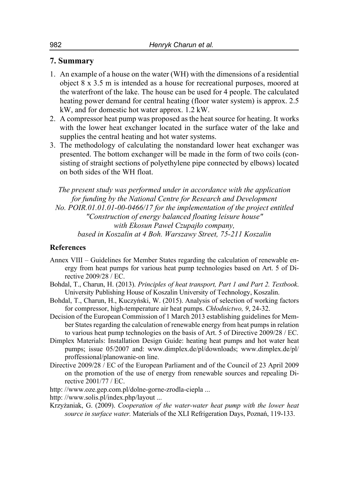### **7. Summary**

- 1. An example of a house on the water (WH) with the dimensions of a residential object 8 x 3.5 m is intended as a house for recreational purposes, moored at the waterfront of the lake. The house can be used for 4 people. The calculated heating power demand for central heating (floor water system) is approx. 2.5 kW, and for domestic hot water approx. 1.2 kW.
- 2. A compressor heat pump was proposed as the heat source for heating. It works with the lower heat exchanger located in the surface water of the lake and supplies the central heating and hot water systems.
- 3. The methodology of calculating the nonstandard lower heat exchanger was presented. The bottom exchanger will be made in the form of two coils (consisting of straight sections of polyethylene pipe connected by elbows) located on both sides of the WH float.

*The present study was performed under in accordance with the application for funding by the National Centre for Research and Development No. POIR.01.01.01-00-0466/17 for the implementation of the project entitled "Construction of energy balanced floating leisure house" with Ekosun Paweł Czupajło company, based in Koszalin at 4 Boh. Warszawy Street, 75-211 Koszalin* 

#### **References**

- Annex VIII Guidelines for Member States regarding the calculation of renewable energy from heat pumps for various heat pump technologies based on Art. 5 of Directive 2009/28 / EC.
- Bohdal, T., Charun, H. (2013). *Principles of heat transport, Part 1 and Part 2. Textbook*. University Publishing House of Koszalin University of Technology, Koszalin.
- Bohdal, T., Charun, H., Kuczyński, W. (2015). Analysis of selection of working factors for compressor, high-temperature air heat pumps. *Chłodnictwo, 9*, 24-32.
- Decision of the European Commission of 1 March 2013 establishing guidelines for Member States regarding the calculation of renewable energy from heat pumps in relation to various heat pump technologies on the basis of Art. 5 of Directive 2009/28 / EC.
- Dimplex Materials: Installation Design Guide: heating heat pumps and hot water heat pumps; issue 05/2007 and: www.dimplex.de/pl/downloads; www.dimplex.de/pl/ proffessional/planowanie-on line.
- Directive 2009/28 / EC of the European Parliament and of the Council of 23 April 2009 on the promotion of the use of energy from renewable sources and repealing Directive 2001/77 / EC.
- http: //www.oze.gep.com.pl/dolne-gorne-zrodla-ciepla ...
- http: //www.solis.pl/index.php/layout ...
- Krzyżaniak, G. (2009). *Cooperation of the water-water heat pump with the lower heat source in surface water.* Materials of the XLI Refrigeration Days, Poznań, 119-133.